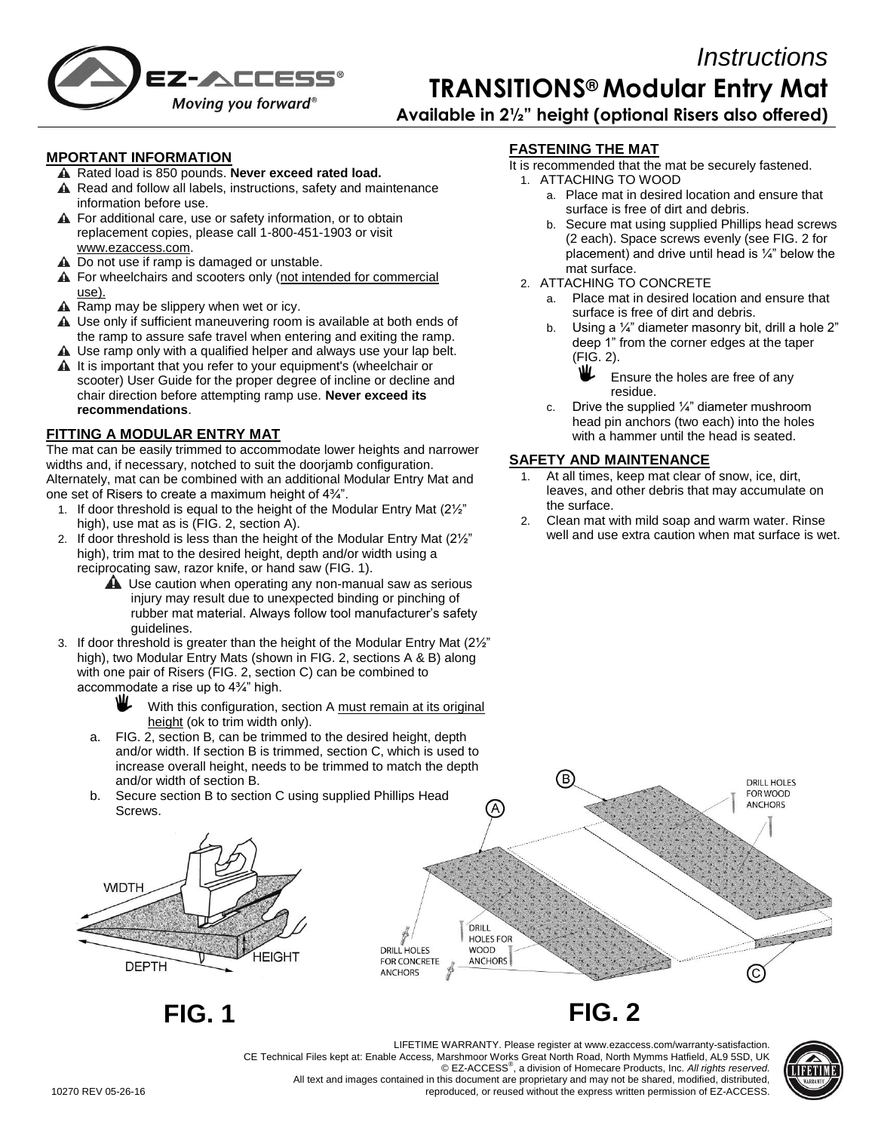

# *Instructions* **TRANSITIONS® Modular Entry Mat Available in 2½" height (optional Risers also offered)**

**MPORTANT INFORMATION**

- A Rated load is 850 pounds. Never exceed rated load.
- A Read and follow all labels, instructions, safety and maintenance information before use.
- A For additional care, use or safety information, or to obtain replacement copies, please call 1-800-451-1903 or visit [www.ezaccess.com.](http://www.ezaccess.com/)
- A Do not use if ramp is damaged or unstable.
- A For wheelchairs and scooters only (not intended for commercial use).
- $\triangle$  Ramp may be slippery when wet or icy.
- A Use only if sufficient maneuvering room is available at both ends of the ramp to assure safe travel when entering and exiting the ramp.
- A Use ramp only with a qualified helper and always use your lap belt.  $\triangle$  It is important that you refer to your equipment's (wheelchair or
- scooter) User Guide for the proper degree of incline or decline and chair direction before attempting ramp use. **Never exceed its recommendations**.

#### **FITTING A MODULAR ENTRY MAT**

The mat can be easily trimmed to accommodate lower heights and narrower widths and, if necessary, notched to suit the doorjamb configuration. Alternately, mat can be combined with an additional Modular Entry Mat and one set of Risers to create a maximum height of 4¾".

- 1. If door threshold is equal to the height of the Modular Entry Mat (2½" high), use mat as is (FIG. 2, section A).
- 2. If door threshold is less than the height of the Modular Entry Mat (2½" high), trim mat to the desired height, depth and/or width using a reciprocating saw, razor knife, or hand saw (FIG. 1).
	- A Use caution when operating any non-manual saw as serious injury may result due to unexpected binding or pinching of rubber mat material. Always follow tool manufacturer's safety guidelines.
- 3. If door threshold is greater than the height of the Modular Entry Mat (2½" high), two Modular Entry Mats (shown in FIG. 2, sections A & B) along with one pair of Risers (FIG. 2, section C) can be combined to accommodate a rise up to 4¾" high.
	- With this configuration, section A must remain at its original height (ok to trim width only).
	- a. FIG. 2, section B, can be trimmed to the desired height, depth and/or width. If section B is trimmed, section C, which is used to increase overall height, needs to be trimmed to match the depth and/or width of section B.
	- b. Secure section B to section C using supplied Phillips Head Screws.



**FIG. 1 FIG. 2**

**FASTENING THE MAT** It is recommended that the mat be securely fastened.

- 1. ATTACHING TO WOOD
	- a. Place mat in desired location and ensure that surface is free of dirt and debris.
	- b. Secure mat using supplied Phillips head screws (2 each). Space screws evenly (see FIG. 2 for placement) and drive until head is  $\frac{1}{4}$ " below the mat surface.
- 2. ATTACHING TO CONCRETE
	- a. Place mat in desired location and ensure that surface is free of dirt and debris.
	- Using a  $\frac{1}{4}$ " diameter masonry bit, drill a hole 2" deep 1" from the corner edges at the taper (FIG. 2).
		- ₩. Ensure the holes are free of any residue.
	- c. Drive the supplied  $\frac{1}{4}$ " diameter mushroom head pin anchors (two each) into the holes with a hammer until the head is seated.

### **SAFETY AND MAINTENANCE**

- 1. At all times, keep mat clear of snow, ice, dirt, leaves, and other debris that may accumulate on the surface.
- 2. Clean mat with mild soap and warm water. Rinse well and use extra caution when mat surface is wet.



reproduced, or reused without the express written permission of EZ-ACCESS.



LIFETIME WARRANTY. Please register at www.ezaccess.com/warranty-satisfaction. CE Technical Files kept at: Enable Access, Marshmoor Works Great North Road, North Mymms Hatfield, AL9 5SD, UK © EZ-ACCESS® , a division of Homecare Products, Inc. *All rights reserved.* All text and images contained in this document are proprietary and may not be shared, modified, distributed,